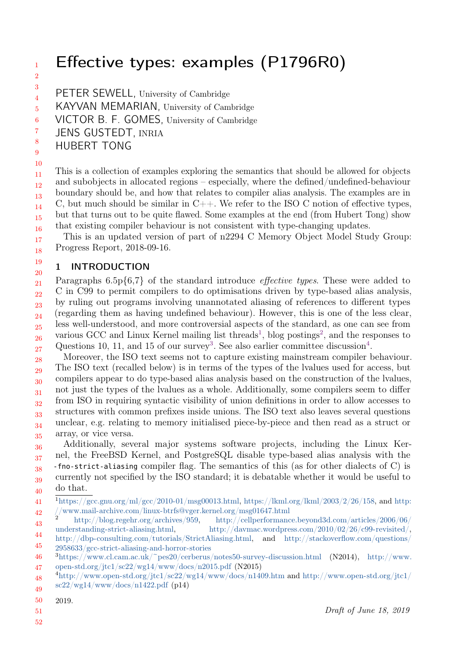# Effective types: examples (P1796R0)

- 3
	- PETER SEWELL, University of Cambridge
- 4 5 KAYVAN MEMARIAN, University of Cambridge
- 6 VICTOR B. F. GOMES, University of Cambridge
- 7 JENS GUSTEDT, INRIA
- 8 9 HUBERT TONG
- 10

11 12 13 14 15 16 This is a collection of examples exploring the semantics that should be allowed for objects and subobjects in allocated regions – especially, where the defined/undefined-behaviour boundary should be, and how that relates to compiler alias analysis. The examples are in C, but much should be similar in  $C_{++}$ . We refer to the ISO C notion of effective types, but that turns out to be quite flawed. Some examples at the end (from Hubert Tong) show that existing compiler behaviour is not consistent with type-changing updates.

17 18 This is an updated version of part of n2294 C Memory Object Model Study Group: Progress Report, 2018-09-16.

#### 19 20 1 INTRODUCTION

21 22 23 24 25 26 27 Paragraphs 6.5p{6,7} of the standard introduce *effective types*. These were added to C in C99 to permit compilers to do optimisations driven by type-based alias analysis, by ruling out programs involving unannotated aliasing of references to different types (regarding them as having undefined behaviour). However, this is one of the less clear, less well-understood, and more controversial aspects of the standard, as one can see from various GCC and Linux Kernel mailing list threads<sup>[1](#page-0-0)</sup>, blog postings<sup>[2](#page-0-1)</sup>, and the responses to Questions 10, 11, and 15 of our survey<sup>[3](#page-0-2)</sup>. See also earlier committee discussion<sup>[4](#page-0-3)</sup>.

28 29 30 31 32 33 34 35 Moreover, the ISO text seems not to capture existing mainstream compiler behaviour. The ISO text (recalled below) is in terms of the types of the lvalues used for access, but compilers appear to do type-based alias analysis based on the construction of the lvalues, not just the types of the lvalues as a whole. Additionally, some compilers seem to differ from ISO in requiring syntactic visibility of union definitions in order to allow accesses to structures with common prefixes inside unions. The ISO text also leaves several questions unclear, e.g. relating to memory initialised piece-by-piece and then read as a struct or array, or vice versa.

36 37 38 39 40 Additionally, several major systems software projects, including the Linux Kernel, the FreeBSD Kernel, and PostgreSQL disable type-based alias analysis with the -fno-strict-aliasing compiler flag. The semantics of this (as for other dialects of C) is currently not specified by the ISO standard; it is debatable whether it would be useful to do that.

- 50 2019.
- 51

<span id="page-0-0"></span><sup>41</sup> 42  $1\text{https://gcc.gnu.org/ml/gcc/2010-01/msg00013.html, [https://gcc.gnu.org/ml/gcc/2010-01/msg00013.html, <https://klm.org/lkml.org/lkml/2003/2/26/158>, and <https://klm.org/lkml.org/lkml/2003/2/26/158>, and \[1\text{https://gcc.gnu.org/ml/gcc/2010-01/msg00013.html, \\[https://gcc.gnu.org/ml/gcc/2010-01/msg00013.html, <https://klm.org/lkml.org/lkml/2003/2/26/158>, and <https://klm.org/lkml.org/lkml/2003/2/26/158>, and \\\[1\text{https://gcc.gnu.org/ml/gcc/2010-01/msg00013.html, \\\\[https://gcc.gnu.org/ml/gcc/2010-01/msg00013.html, <https://klm.org/lkml.org/lkml/2003/2/26/158>, and <https://klm.org/lkml.org/lkml/2003/2/26/158>, and <a href="https://klm.org</math>\\\\]\\\\(https://klm.org/lkml.org/lkml/2003/2/26/158\\\\)\\\]\\\(https://klm.org</math><math display=\\\)\\]\\(https://klm.org/lkml.org/lkml/2003/2/26/158\\)\]\(https://klm.org</math><math display=\)](https://klm.org/lkml.org/lkml/2003/2/26/158)$ [//www.mail-archive.com/linux-btrfs@vger.kernel.org/msg01647.html](http://www.mail-archive.com/linux-btrfs@vger.kernel.org/msg01647.html)

<span id="page-0-1"></span><sup>43</sup> <sup>2</sup> [http://blog.regehr.org/archives/959,](http://blog.regehr.org/archives/959) [http://cellperformance.beyond3d.com/articles/2006/06/](http://cellperformance.beyond3d.com/articles/2006/06/understanding-strict-aliasing.html) [understanding-strict-aliasing.html,](http://cellperformance.beyond3d.com/articles/2006/06/understanding-strict-aliasing.html) [http://davmac.wordpress.com/2010/02/26/c99-revisited/,](http://davmac.wordpress.com/2010/02/26/c99-revisited/)

<sup>44</sup> 45 [http://dbp-consulting.com/tutorials/StrictAliasing.html,](http://dbp-consulting.com/tutorials/StrictAliasing.html) and [http://stackoverflow.com/questions/](http://stackoverflow.com/questions/2958633/gcc-strict-aliasing-and-horror-stories) [2958633/gcc-strict-aliasing-and-horror-stories](http://stackoverflow.com/questions/2958633/gcc-strict-aliasing-and-horror-stories)

<span id="page-0-2"></span><sup>46</sup> 47 <sup>3</sup><https://www.cl.cam.ac.uk/~pes20/cerberus/notes50-survey-discussion.html> (N2014), [http://www.](http://www.open-std.org/jtc1/sc22/wg14/www/docs/n2015.pdf) [open-std.org/jtc1/sc22/wg14/www/docs/n2015.pdf](http://www.open-std.org/jtc1/sc22/wg14/www/docs/n2015.pdf) (N2015)

<span id="page-0-3"></span><sup>48</sup> 49  $^{4}$ <http://www.open-std.org/jtc1/sc22/wg14/www/docs/n1409.htm> and [http://www.open-std.org/jtc1/](http://www.open-std.org/jtc1/sc22/wg14/www/docs/n1422.pdf)  $sc22/wg14/www/docs/n1422.pdf$  (p14)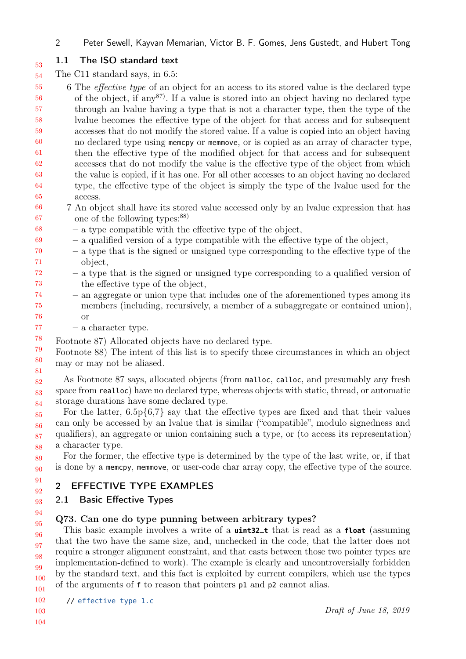2 Peter Sewell, Kayvan Memarian, Victor B. F. Gomes, Jens Gustedt, and Hubert Tong

77

## 1.1 The ISO standard text

54 The C11 standard says, in 6.5:

55 56 57 58 59 60 61 62 63 64 65 6 The effective type of an object for an access to its stored value is the declared type of the object, if any  $87$ . If a value is stored into an object having no declared type through an lvalue having a type that is not a character type, then the type of the lvalue becomes the effective type of the object for that access and for subsequent accesses that do not modify the stored value. If a value is copied into an object having no declared type using memcpy or memmove, or is copied as an array of character type, then the effective type of the modified object for that access and for subsequent accesses that do not modify the value is the effective type of the object from which the value is copied, if it has one. For all other accesses to an object having no declared type, the effective type of the object is simply the type of the lvalue used for the access.

- 66 67 7 An object shall have its stored value accessed only by an lvalue expression that has one of the following types:<sup>88)</sup>
- 68 – a type compatible with the effective type of the object,
- 69 – a qualified version of a type compatible with the effective type of the object,
- 70 71 – a type that is the signed or unsigned type corresponding to the effective type of the object,
- 72 73 – a type that is the signed or unsigned type corresponding to a qualified version of the effective type of the object,
- 74 75 76 – an aggregate or union type that includes one of the aforementioned types among its members (including, recursively, a member of a subaggregate or contained union), or
	- a character type.
- 78 Footnote 87) Allocated objects have no declared type.

79 80 81 Footnote 88) The intent of this list is to specify those circumstances in which an object may or may not be aliased.

82 83 84 As Footnote 87 says, allocated objects (from malloc, calloc, and presumably any fresh space from realloc) have no declared type, whereas objects with static, thread, or automatic storage durations have some declared type.

85 86 87 88 For the latter,  $6.5p\{6,7\}$  say that the effective types are fixed and that their values can only be accessed by an lvalue that is similar ("compatible", modulo signedness and qualifiers), an aggregate or union containing such a type, or (to access its representation) a character type.

89 90 For the former, the effective type is determined by the type of the last write, or, if that is done by a memcpy, memmove, or user-code char array copy, the effective type of the source.

#### 91 92 2 EFFECTIVE TYPE EXAMPLES

### 93 2.1 Basic Effective Types

### Q73. Can one do type punning between arbitrary types?

95 96 97 98 99 100 101 This basic example involves a write of a **uint32\_t** that is read as a **float** (assuming that the two have the same size, and, unchecked in the code, that the latter does not require a stronger alignment constraint, and that casts between those two pointer types are implementation-defined to work). The example is clearly and uncontroversially forbidden by the standard text, and this fact is exploited by current compilers, which use the types of the arguments of f to reason that pointers p1 and p2 cannot alias.

102 // [effective\\_type\\_1.c](https://cerberus.cl.cam.ac.uk/cerberus?defacto/effective_type_1.c)

94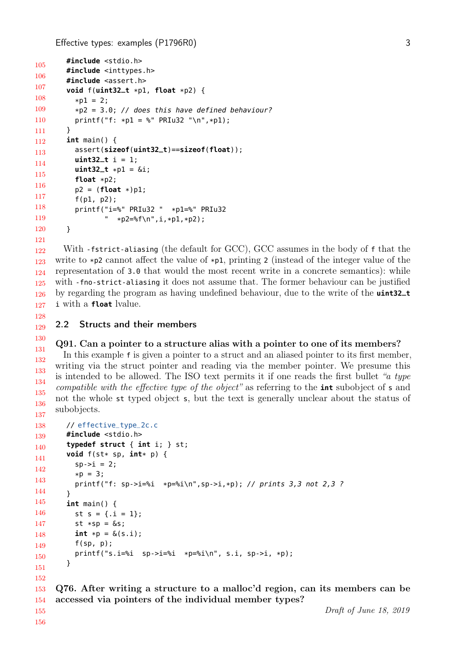```
105
106
107
108
109
110
111
112
113
114
115
116
117
118
119
120
121
        #include <stdio.h>
        #include <inttypes.h>
       #include <assert.h>
        void f(uint32_t *p1, float *p2) {
          *D1 = 2:
          *p2 = 3.0; // does this have defined behaviour?
          printf("f: *D = %" PRIu32 "\n", *D);
       }
        int main() {
          assert(sizeof(uint32_t)==sizeof(float));

          uint32_t *p1 = &i;
          float *p2;
          p2 = (float *)p1;
          f(p1, p2);
          printf("i=%" PRIu32 " *p1=%" PRIu32
                 " *p2="sf\n", i, *p1, *p2);
       }
```
122 123 124 125 126 127 With -fstrict-aliasing (the default for GCC), GCC assumes in the body of f that the write to  $\ast p2$  cannot affect the value of  $\ast p1$ , printing 2 (instead of the integer value of the representation of 3.0 that would the most recent write in a concrete semantics): while with -fno-strict-aliasing it does not assume that. The former behaviour can be justified by regarding the program as having undefined behaviour, due to the write of the **uint32\_t** i with a **float** lvalue.

129 2.2 Structs and their members

### Q91. Can a pointer to a structure alias with a pointer to one of its members?

131 132 133 134 135 136 137 In this example f is given a pointer to a struct and an aliased pointer to its first member, writing via the struct pointer and reading via the member pointer. We presume this is intended to be allowed. The ISO text permits it if one reads the first bullet "a type compatible with the effective type of the object" as referring to the **int** subobject of s and not the whole st typed object s, but the text is generally unclear about the status of subobjects.

```
138
139
140
141
142
143
144
145
146
147
148
149
150
151
152
153
       // effective_type_2c.c
       #include <stdio.h>
        typedef struct { int i; } st;
        void f(st* sp, int* p) {
          sp - > i = 2;*p = 3;printf("f: sp->i=%i *p=%i\n",sp->i,*p); // prints 3,3 not 2,3 ?
        }
        int main() {
          st s = \{ .i = 1 \};st *sp = \&s;int * p = \&(s, i);f(sp, p);
          printf("s.i=%i sp->i=%i *p=%i\n", s.i, sp->i, *p);
        }
     Q76. After writing a structure to a malloc'd region, can its members can be
```
accessed via pointers of the individual member types?

155 156

154

128

130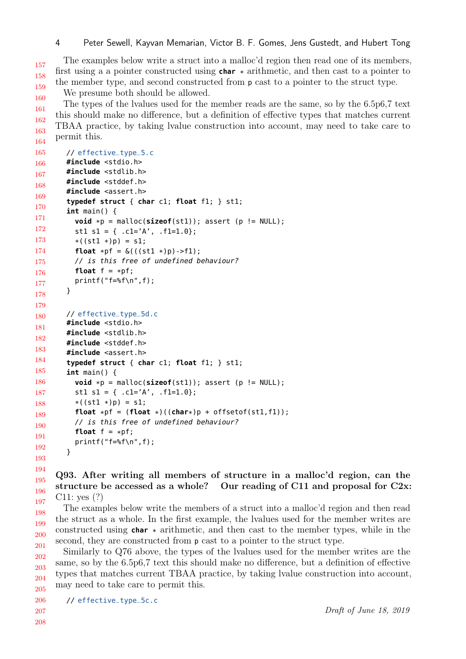157 158 159 The examples below write a struct into a malloc'd region then read one of its members, first using a a pointer constructed using **char** \* arithmetic, and then cast to a pointer to the member type, and second constructed from p cast to a pointer to the struct type. We presume both should be allowed.

160 161 162 163 164 The types of the lvalues used for the member reads are the same, so by the 6.5p6,7 text this should make no difference, but a definition of effective types that matches current TBAA practice, by taking lvalue construction into account, may need to take care to permit this.

```
165
166
167
168
169
170
171
172
173
174
175
176
177
178
179
180
181
182
183
184
185
186
187
188
189
190
191
192
193
        // effective_type_5.c
        #include <stdio.h>
        #include <stdlib.h>
        #include <stddef.h>
        #include <assert.h>
        typedef struct { char c1; float f1; } st1;
        int main() {
          void *p = malloc(sizeof(st1)); assert(p != NULL);st1 s1 = { .c1='A', .f1=1.0};
          *( (st1 *) p ) = s1;float *pf = \&(( (st1 *)p) - f1);// is this free of undefined behaviour?
          float f = *pf;
          printf("f=%f\n",f);
        }
        // effective_type_5d.c
        #include <stdio.h>
        #include <stdlib.h>
        #include <stddef.h>
        #include <assert.h>
        typedef struct { char c1; float f1; } st1;
        int main() {
          void *p = malloc(sizeof(st1)); assert (p != NULL);
          st1 s1 = { .c1='A', .f1=1.0};
          *( (st1 * )p) = sl;float *pf = (float *)((char*)p + offsetof(st1,f1));
          // is this free of undefined behaviour?
          float f = *pf;
          printf("f=%f\n",f);
        }
```
194 195 196 197 Q93. After writing all members of structure in a malloc'd region, can the structure be accessed as a whole? Our reading of C11 and proposal for C2x: C11: yes (?)

198 199 200 201 The examples below write the members of a struct into a malloc'd region and then read the struct as a whole. In the first example, the lvalues used for the member writes are constructed using **char** \* arithmetic, and then cast to the member types, while in the second, they are constructed from p cast to a pointer to the struct type.

202 203 204 205 Similarly to Q76 above, the types of the lvalues used for the member writes are the same, so by the 6.5p6,7 text this should make no difference, but a definition of effective types that matches current TBAA practice, by taking lvalue construction into account, may need to take care to permit this.

// [effective\\_type\\_5c.c](https://cerberus.cl.cam.ac.uk/cerberus?defacto/effective_type_5c.c)

206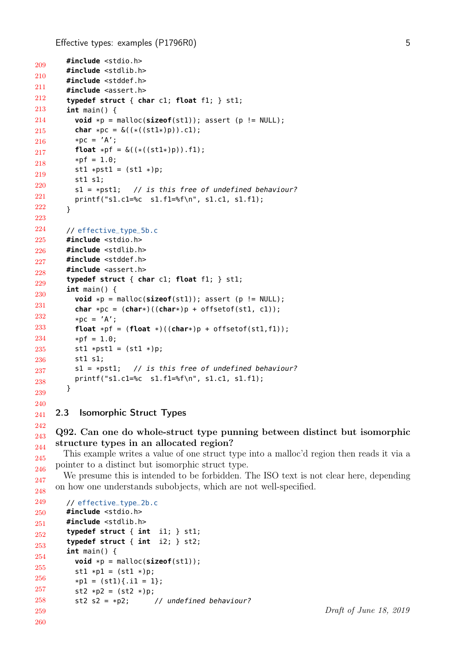```
209
210
211
212
213
214
215
216
217
218
219
220
221
222
223
224
225
226
227
228
229
230
231
232
233
234
235
236
237
238
239
240
        #include <stdio.h>
        #include <stdlib.h>
        #include <stddef.h>
        #include <assert.h>
        typedef struct { char c1; float f1; } st1;
        int main() {
          void *p = malloc(sizeof(st1)); assert(p != NULL);char *pc = \delta((*((st1*)p)).c1);*pc = 'A';float *pf = \&((*((st1*)p)).f1);*pf = 1.0;st1 *pst1 = (st1 *)p;st1 s1;
          s1 = *pst1; // is this free of undefined behaviour?
          printf("s1.c1=%c s1.f1=%f\n", s1.c1, s1.f1);
        }
       // effective_type_5b.c
       #include <stdio.h>
        #include <stdlib.h>
        #include <stddef.h>
        #include <assert.h>
        typedef struct { char c1; float f1; } st1;
        int main() {
          void *p = malloc(sizeof(st1)); assert(p != NULL);char *pc = (char*)((char*)p + offsetof(st1, cl));*pc = 'A';float *pf = (float *)((char*)p + offsetof(st1, f1));*pf = 1.0;
          st1 *pst1 = (st1 *)p;st1 s1;
          s1 = *pst1; // is this free of undefined behaviour?
          printf("s1.c1=%c s1.f1=%f\n", s1.c1, s1.f1);
       }
```
#### 241 2.3 Isomorphic Struct Types

242

#### 243 244 Q92. Can one do whole-struct type punning between distinct but isomorphic structure types in an allocated region?

245 246 This example writes a value of one struct type into a malloc'd region then reads it via a pointer to a distinct but isomorphic struct type.

247 248 We presume this is intended to be forbidden. The ISO text is not clear here, depending on how one understands subobjects, which are not well-specified.

```
249
250
251
252
253
254
255
256
257
258
259
260
        // effective_type_2b.c
        #include <stdio.h>
        #include <stdlib.h>
        typedef struct { int i1; } st1;
        typedef struct { int i2; } st2;
        int main() {
           \text{void } *p = \text{malloc}(\text{sizeof}(\text{st1}));st1 * p1 = (st1 * )p;*p1 = (st1){}.i1 = 1};st2 * p2 = (st2 * )p;st2 s2 = *p2; // undefined behaviour?
```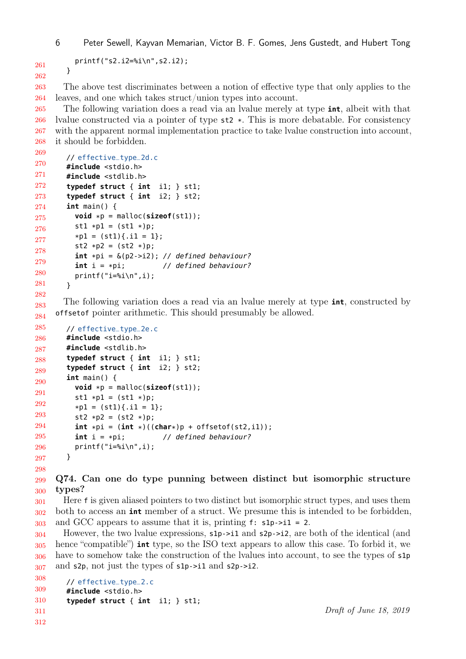```
261
262
```

```
printf("s2.i2=%i\n",s2.i2);
}
```
263 264 The above test discriminates between a notion of effective type that only applies to the leaves, and one which takes struct/union types into account.

265 266 267 268 The following variation does a read via an lvalue merely at type **int**, albeit with that lvalue constructed via a pointer of type st2 \*. This is more debatable. For consistency with the apparent normal implementation practice to take lvalue construction into account, it should be forbidden.

```
269
270
271
272
273
274
275
276
277
278
279
280
281
282
        // effective_type_2d.c
        #include <stdio.h>
        #include <stdlib.h>
        typedef struct { int i1; } st1;
        typedef struct { int i2; } st2;
        int main() {
          void *p = \text{malloc}(\text{sizeof}(\text{st1}));st1 * p1 = (st1 * )p;*pi = (st1){}.i1 = 1};st2 * p2 = (st2 * )p;int *pi = \&(p2->i2); // defined behaviour?
          int i = *pi; \frac{1}{2} // defined behaviour?
          printf("i=%i\n",i);
        }
```
283 284 The following variation does a read via an lvalue merely at type **int**, constructed by offsetof pointer arithmetic. This should presumably be allowed.

```
285
286
287
288
289
290
291
292
293
294
295
296
297
298
        // effective_type_2e.c
        #include <stdio.h>
        #include <stdlib.h>
        typedef struct { int i1; } st1;
        typedef struct { int i2; } st2;
        int main() {
          \text{void } *p = \text{malloc}(\text{sizeof}(\text{st1}));st1 * p1 = (st1 * )p;*pi = (st1){}.i1 = 1};st2 * p2 = (st2 * )p;int *pi = (int *)((char*)p + offsetof(st2, i1));int i = *pi; // defined behaviour?
          printf("i=%i\n",i);
        }
```
299 300 Q74. Can one do type punning between distinct but isomorphic structure types?

301 302 303 Here f is given aliased pointers to two distinct but isomorphic struct types, and uses them both to access an **int** member of a struct. We presume this is intended to be forbidden, and GCC appears to assume that it is, printing  $f: \mathsf{slp}\text{-}i1 = 2$ .

304 305 306 307 However, the two lvalue expressions,  $s1p\rightarrow i1$  and  $s2p\rightarrow i2$ , are both of the identical (and hence "compatible") **int** type, so the ISO text appears to allow this case. To forbid it, we have to somehow take the construction of the lvalues into account, to see the types of  $\mathsf{slp}$ and s2p, not just the types of s1p->i1 and s2p->i2.

```
308
309
310
311
312
        // effective_type_2.c
        #include <stdio.h>
        typedef struct { int i1; } st1;
```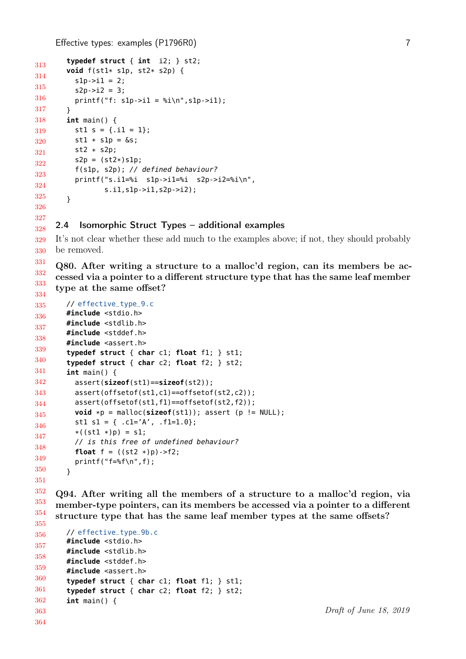```
313
314
315
316
317
318
319
320
321
322
323
324
325
326
        typedef struct { int i2; } st2;
        void f(st1* s1p, st2* s2p) {
          s1p - >11 = 2;s2p - > i2 = 3;printf("f: s1p->i1 = %i\n", s1p->i1);}
        int main() {
          st1 s = \{ .i1 = 1 \};st1 * s1p = \&s;st2 * s2p;
          s2p = (st2*)s1p;f(s1p, s2p); // defined behaviour?
          printf("s.i1=%i s1p->i1=%i s2p->i2=%i\n",
                 s.i1,s1p->i1,s2p->i2);
        }
```
#### 327 328 2.4 Isomorphic Struct Types – additional examples

329 330 It's not clear whether these add much to the examples above; if not, they should probably be removed.

331 332 333 334 Q80. After writing a structure to a malloc'd region, can its members be accessed via a pointer to a different structure type that has the same leaf member type at the same offset?

```
335
336
337
338
339
340
341
342
343
344
345
346
347
348
349
350
351
        // effective_type_9.c
        #include <stdio.h>
        #include <stdlib.h>
        #include <stddef.h>
        #include <assert.h>
        typedef struct { char c1; float f1; } st1;
        typedef struct { char c2; float f2; } st2;
        int main() {
          assert(sizeof(st1)==sizeof(st2));
          assert(offsetof(st1,c1)==offsetof(st2,c2));
          assert(offsetof(st1,f1)==offsetof(st2,f2));
          void *p = \text{malloc}(\text{sizeof}(\text{st1})); assert (p == \text{NULL});
          st1 s1 = { .c1='A', .f1=1.0};
          *( (st1 *) p ) = s1;// is this free of undefined behaviour?
          float f = ((st2 * )p) - f2;printf("f=%f\n",f);
        }
```
352 353 354 355 Q94. After writing all the members of a structure to a malloc'd region, via member-type pointers, can its members be accessed via a pointer to a different structure type that has the same leaf member types at the same offsets?

```
356
357
358
359
360
361
362
363
364
        // effective_type_9b.c
        #include <stdio.h>
        #include <stdlib.h>
        #include <stddef.h>
        #include <assert.h>
        typedef struct { char c1; float f1; } st1;
        typedef struct { char c2; float f2; } st2;
        int main() {
```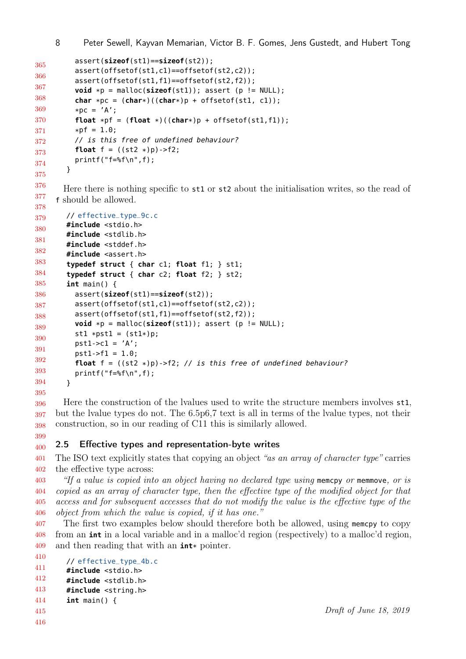8 Peter Sewell, Kayvan Memarian, Victor B. F. Gomes, Jens Gustedt, and Hubert Tong

```
365
366
367
368
369
370
371
372
373
374
375
          assert(sizeof(st1)==sizeof(st2));
          assert(offsetof(st1,c1)==offsetof(st2,c2));
          assert(offsetof(st1,f1)==offsetof(st2,f2));
          void *p = malloc(sizeof(st1)); assert(p != NULL);char *pc = (char*)((char*)p + offsetof(st1, cl));*pc = 'A';float *pf = (float *)((char*)p + offsetof(st1, f1));*pf = 1.0;// is this free of undefined behaviour?
          float f = ((st2 * )p) - f2;print(f=\frac{2}{3}; f);
        }
```
376 377 378 Here there is nothing specific to st1 or st2 about the initialisation writes, so the read of f should be allowed.

```
379
380
381
382
383
384
385
386
387
388
389
390
391
392
393
394
395
        // effective_type_9c.c
        #include <stdio.h>
        #include <stdlib.h>
        #include <stddef.h>
        #include <assert.h>
        typedef struct { char c1; float f1; } st1;
        typedef struct { char c2; float f2; } st2;
        int main() {
          assert(sizeof(st1)==sizeof(st2));
          assert(offsetof(st1,c1)==offsetof(st2,c2));
          assert(offsetof(st1,f1)==offsetof(st2,f2));
          void *p = \text{malloc}(\text{sizeof}(\text{st1})); assert (p != \text{NULL});
          st1 *pst1 = (st1*)p;pst1-z1 = 'A';pst1-5f1 = 1.0;float f = ((st2 *)p)->f2; // is this free of undefined behaviour?
          print(f = %f \n\cdot f);
        }
```
396 397 398 Here the construction of the lvalues used to write the structure members involves st1, but the lvalue types do not. The 6.5p6,7 text is all in terms of the lvalue types, not their construction, so in our reading of C11 this is similarly allowed.

#### 399 400 2.5 Effective types and representation-byte writes

401 402 The ISO text explicitly states that copying an object "as an array of character type" carries the effective type across:

403 404 405 406 "If a value is copied into an object having no declared type using memove or memmove, or is copied as an array of character type, then the effective type of the modified object for that access and for subsequent accesses that do not modify the value is the effective type of the object from which the value is copied, if it has one."

407 408 409 The first two examples below should therefore both be allowed, using memcpy to copy from an **int** in a local variable and in a malloc'd region (respectively) to a malloc'd region, and then reading that with an **int**\* pointer.

```
410
411
412
        // effective_type_4b.c
        #include <stdio.h>
        #include <stdlib.h>
```

```
413
        #include <string.h>
```

```
414
        int main() {
```

```
415
416
```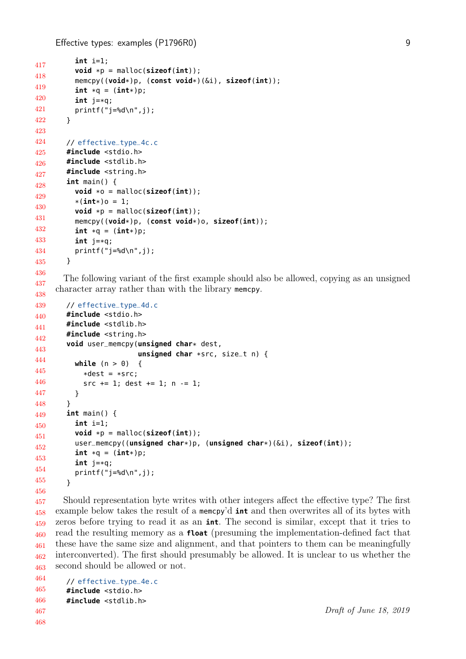```
417
418
419
420
421
422
423
424
425
426
427
428
429
430
431
432
433
434
435
436
437
438
439
440
441
442
443
444
445
446
447
448
449
450
451
452
453
454
455
456
          int i=1;
          void *p = malloc(sizeof(int));
          memcpy((void*)p, (const void*)(&i), sizeof(int));
          int *q = (int*)p;int j=*q;
          printf("j=%d\n",j);
        }
        // effective_type_4c.c
        #include <stdio.h>
        #include <stdlib.h>
        #include <string.h>
        int main() {
          void *o = malloc(sizeof(int));
          *(int*)o = 1;
          void *p = malloc(sizeof(int));
          memcpy((void*)p, (const void*)o, sizeof(int));
          int *q = (int*)p;int j=*q;
          printf("j=%d\n",j);
        }
       The following variant of the first example should also be allowed, copying as an unsigned
     character array rather than with the library memcpy.
        // effective_type_4d.c
        #include <stdio.h>
        #include <stdlib.h>
        #include <string.h>
        void user_memcpy(unsigned char* dest,
                           unsigned char *src, size_t n) {
          while (n > 0) {
            *dest = *src:
             src += 1; dest += 1; n -= 1;
          }
        }
        int main() {
          int i=1;
          \text{void } *p = \text{malloc}(\text{sizeof}(\text{int})):user_memcpy((unsigned char*)p, (unsigned char*)(&i), sizeof(int));
          int *q = (int*)p;int j=*q;
          printf("j=%d\n",j);
        }
```
457 458 459 460 461 462 463 Should representation byte writes with other integers affect the effective type? The first example below takes the result of a memcpy'd **int** and then overwrites all of its bytes with zeros before trying to read it as an **int**. The second is similar, except that it tries to read the resulting memory as a **float** (presuming the implementation-defined fact that these have the same size and alignment, and that pointers to them can be meaningfully interconverted). The first should presumably be allowed. It is unclear to us whether the second should be allowed or not.

464 465 466 467 // [effective\\_type\\_4e.c](https://cerberus.cl.cam.ac.uk/cerberus?defacto/effective_type_4e.c) **#include** <stdio.h> **#include** <stdlib.h>

468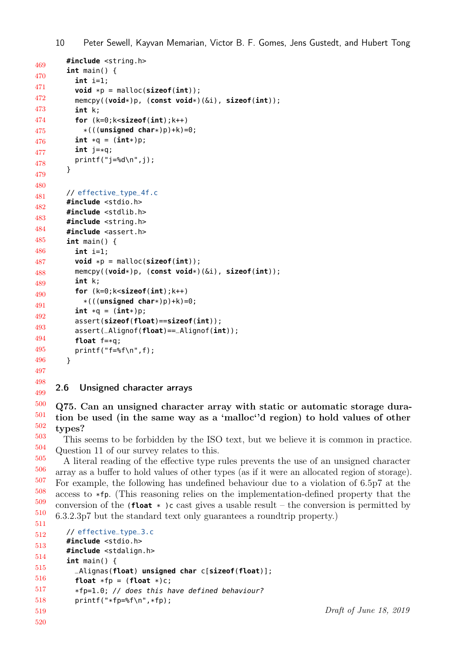```
469
470
471
472
473
474
475
476
477
478
479
480
481
482
483
484
485
486
487
488
489
490
491
492
493
494
495
496
497
498
499
500
501
502
503
504
505
506
507
508
        #include <string.h>
        int main() {
          int i=1;
          \text{void *p = \text{malloc}(\text{sizeof}(\text{int}));
          memcpy((void*)p, (const void*)(&i), sizeof(int));
          int k;
          for (k=0;k<sizeof(int);k++)
            *(((unsigned char*)p)+k)=0;
          int *q = (int*)p;int j=*q;
          print(f("j=\&d\nu",j);}
        // effective_type_4f.c
        #include <stdio.h>
        #include <stdlib.h>
        #include <string.h>
        #include <assert.h>
        int main() {
          int i=1;
          \text{void *p = \text{malloc}(\text{sizeof}(\text{int}))};memcpy((void*)p, (const void*)(&i), sizeof(int));
          int k;
          for (k=0;k<sizeof(int);k++)
            *(((unsigned char*)p)+k)=0;
          int *q = (int*)p;assert(sizeof(float)==sizeof(int));
          assert(_Alignof(float)==_Alignof(int));
          float f=*q;
          printf("f=%f\n",f);
        }
     2.6 Unsigned character arrays
     Q75. Can an unsigned character array with static or automatic storage dura-
     tion be used (in the same way as a 'malloc''d region) to hold values of other
     types?
       This seems to be forbidden by the ISO text, but we believe it is common in practice.
     Question 11 of our survey relates to this.
       A literal reading of the effective type rules prevents the use of an unsigned character
     array as a buffer to hold values of other types (as if it were an allocated region of storage).
     For example, the following has undefined behaviour due to a violation of 6.5p7 at the
```
509 510 511 access to \*fp. (This reasoning relies on the implementation-defined property that the conversion of the (**float**  $*$  )c cast gives a usable result – the conversion is permitted by 6.3.2.3p7 but the standard text only guarantees a roundtrip property.)

```
512
513
514
515
516
517
518
519
520
        // effective_type_3.c
        #include <stdio.h>
        #include <stdalign.h>
        int main() {
          _Alignas(float) unsigned char c[sizeof(float)];
          float *fp = (float * )c;*fp=1.0; // does this have defined behaviour?
          printf("*fp=%f\n",*fp);
```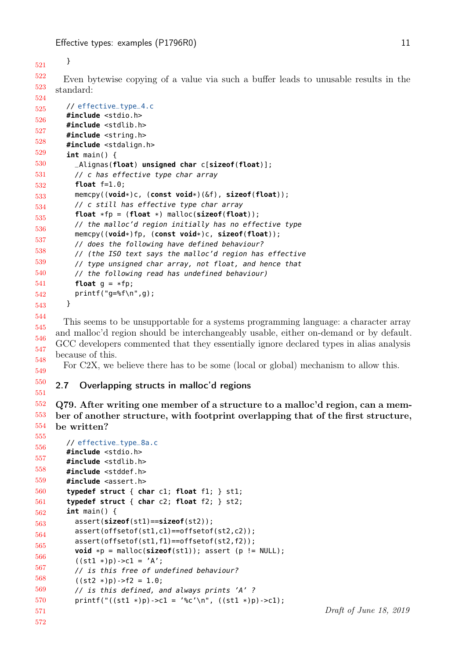}

549

```
522
523
524
       Even bytewise copying of a value via such a buffer leads to unusable results in the
     standard:
```

```
525
526
527
528
529
530
531
532
533
534
535
536
537
538
539
540
541
542
543
       // effective_type_4.c
       #include <stdio.h>
        #include <stdlib.h>
        #include <string.h>
        #include <stdalign.h>
        int main() {
          _Alignas(float) unsigned char c[sizeof(float)];
          // c has effective type char array
          float f=1.0;
          memcpy((void*)c, (const void*)(&f), sizeof(float));
          // c still has effective type char array
          float *fp = (float *) malloc(sizeof(float));
          // the malloc'd region initially has no effective type
          memcpy((void*)fp, (const void*)c, sizeof(float));
          // does the following have defined behaviour?
          // (the ISO text says the malloc'd region has effective
          // type unsigned char array, not float, and hence that
          // the following read has undefined behaviour)
          float g = *fp;
          printf("g=%f\n",g);
        }
```
544 545 546 547 548 This seems to be unsupportable for a systems programming language: a character array and malloc'd region should be interchangeably usable, either on-demand or by default. GCC developers commented that they essentially ignore declared types in alias analysis because of this.

For C2X, we believe there has to be some (local or global) mechanism to allow this.

#### 550 551 2.7 Overlapping structs in malloc'd regions

552 553 554 Q79. After writing one member of a structure to a malloc'd region, can a member of another structure, with footprint overlapping that of the first structure, be written?

```
555
556
557
558
559
560
561
562
563
564
565
566
567
568
569
570
571
572
        // effective_type_8a.c
        #include <stdio.h>
        #include <stdlib.h>
        #include <stddef.h>
        #include <assert.h>
        typedef struct { char c1; float f1; } st1;
        typedef struct { char c2; float f2; } st2;
        int main() {
          assert(sizeof(st1)==sizeof(st2));
          assert(offsetof(st1,c1)==offsetof(st2,c2));
          assert(offsetof(st1,f1)==offsetof(st2,f2));
          void *p = malloc(sizeof(st1)); assert(p != NULL);((st1 * )p)->c1 = 'A';
          // is this free of undefined behaviour?
          ((st2 * )p)->f2 = 1.0;
          // is this defined, and always prints 'A' ?
          printf("((st1 *)p)->c1 = '%c'\n", ((st1 *)p)->c1);
```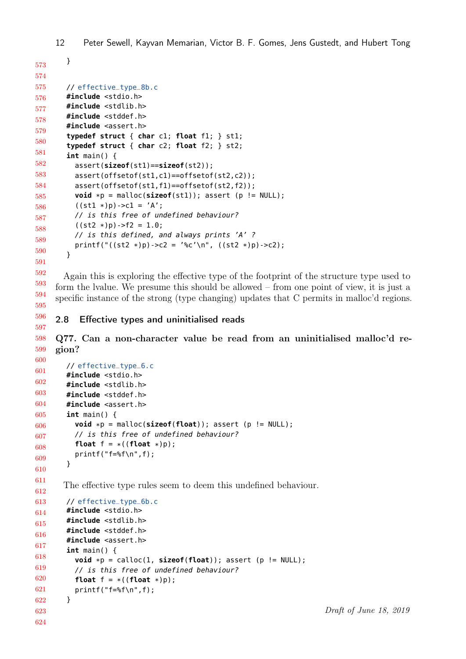```
573
574
575
576
577
578
579
580
581
582
583
584
585
586
587
588
589
590
591
       }
       // effective_type_8b.c
        #include <stdio.h>
        #include <stdlib.h>
        #include <stddef.h>
        #include <assert.h>
        typedef struct { char c1; float f1; } st1;
        typedef struct { char c2; float f2; } st2;
        int main() {
          assert(sizeof(st1)==sizeof(st2));
          assert(offsetof(st1,c1)==offsetof(st2,c2));
          assert(offsetof(st1,f1)==offsetof(st2,f2));
          void *p = malloc(sizeof(st1)); assert(p != NULL);((st1 * )p)->c1 = 'A';
          // is this free of undefined behaviour?
          ((st2 * )p)->f2 = 1.0;
          // is this defined, and always prints 'A' ?
          printf("((st2 *)p)->c2 = '%c'\n", ((st2 *)p)->c2);
        }
```
592 593 594 595 Again this is exploring the effective type of the footprint of the structure type used to form the lvalue. We presume this should be allowed – from one point of view, it is just a specific instance of the strong (type changing) updates that C permits in malloc'd regions.

596 597 2.8 Effective types and uninitialised reads

600

598 599 Q77. Can a non-character value be read from an uninitialised malloc'd region?

```
601
602
603
604
605
606
607
608
609
610
611
612
613
614
615
616
617
618
619
620
621
622
623
624
        // effective_type_6.c
        #include <stdio.h>
        #include <stdlib.h>
        #include <stddef.h>
        #include <assert.h>
        int main() {
          void *p = malloc(sizeof(float)); assert (p != NULL);
          // is this free of undefined behaviour?
          float f = *((f\text{load } * )p);
          printf("f=%f\n",f);
        }
       The effective type rules seem to deem this undefined behaviour.
        // effective_type_6b.c
        #include <stdio.h>
        #include <stdlib.h>
        #include <stddef.h>
        #include <assert.h>
        int main() {
          void *p = calloc(1, sizeof(float)); assert (p != NULL);
          // is this free of undefined behaviour?
          float f = *((fload * )p);
          printf("f=%f\n",f);
        }
```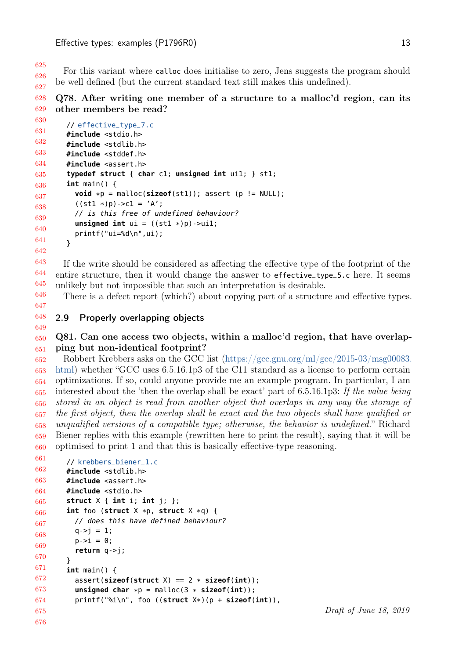625 626 627 For this variant where calloc does initialise to zero, Jens suggests the program should be well defined (but the current standard text still makes this undefined).

#### 628 629 Q78. After writing one member of a structure to a malloc'd region, can its other members be read?

```
630
631
632
633
634
635
636
637
638
639
640
641
        // effective_type_7.c
        #include <stdio.h>
        #include <stdlib.h>
        #include <stddef.h>
        #include <assert.h>
         typedef struct { char c1; unsigned int ui1; } st1;
         int main() {
           void *p = \text{malloc}(\text{sizeof}(\text{st1})); assert (p := \text{NULL});
           ((st1 * )p)->c1 = 'A';
           // is this free of undefined behaviour?
           unsigned int ui = ((st1 * )p) - \geq uit1;printf("ui=%d\n",ui);
        }
```
642

643 644 645 646 If the write should be considered as affecting the effective type of the footprint of the entire structure, then it would change the answer to effective\_type\_5.c here. It seems unlikely but not impossible that such an interpretation is desirable.

There is a defect report (which?) about copying part of a structure and effective types.

647 648

649

### 2.9 Properly overlapping objects

#### 650 651 Q81. Can one access two objects, within a malloc'd region, that have overlapping but non-identical footprint?

652 653 654 655 656 657 658 659 660 Robbert Krebbers asks on the GCC list [\(https://gcc.gnu.org/ml/gcc/2015-03/msg00083.](https://gcc.gnu.org/ml/gcc/2015-03/msg00083.html) [html\)](https://gcc.gnu.org/ml/gcc/2015-03/msg00083.html) whether "GCC uses 6.5.16.1p3 of the C11 standard as a license to perform certain optimizations. If so, could anyone provide me an example program. In particular, I am interested about the 'then the overlap shall be exact' part of 6.5.16.1p3: If the value being stored in an object is read from another object that overlaps in any way the storage of the first object, then the overlap shall be exact and the two objects shall have qualified or unqualified versions of a compatible type; otherwise, the behavior is undefined." Richard Biener replies with this example (rewritten here to print the result), saying that it will be optimised to print 1 and that this is basically effective-type reasoning.

```
661
662
663
664
665
666
667
668
669
670
671
672
673
674
675
676
        // krebbers_biener_1.c
        #include <stdlib.h>
        #include <assert.h>
        #include <stdio.h>
        struct X { int i; int j; };
        int foo (struct X *p, struct X *q) {
          // does this have defined behaviour?
          q - > j = 1;p - > i = 0;return q->j;
        }
        int main() {
          assert(sizeof(struct X) == 2 * sizeof(int));
          unsigned char *p = \text{malloc}(3 * \text{sizeof(int)});printf("%i\n", foo ((struct X*)(p + sizeof(int)),
```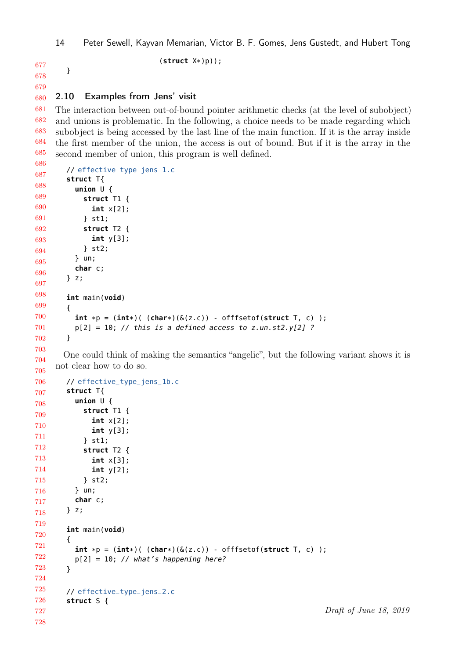}

(**struct** X\*)p));

678 679

680 2.10 Examples from Jens' visit

681 682 683 684 685 The interaction between out-of-bound pointer arithmetic checks (at the level of subobject) and unions is problematic. In the following, a choice needs to be made regarding which subobject is being accessed by the last line of the main function. If it is the array inside the first member of the union, the access is out of bound. But if it is the array in the second member of union, this program is well defined.

```
686
687
688
689
690
691
692
693
694
695
696
697
698
699
700
701
702
703
        // effective_type_jens_1.c
        struct T{
          union U {
            struct T1 {
               int x[2];
             } st1;
             struct T2 {
               int y[3];
            } st2;
          } un;
          char c;
        } z;
        int main(void)
        {
          int *p = (int*) ( (char*) (\&(z.c)) - offfsetof(struct T, c) );
          p[2] = 10; // this is a defined access to z.un.st2.y[2] ?
        }
```
704 705 One could think of making the semantics "angelic", but the following variant shows it is not clear how to do so.

```
706
707
708
709
710
711
712
713
714
715
716
717
718
719
720
721
722
723
724
725
726
727
728
        // effective_type_jens_1b.c
        struct T{
          union U {
             struct T1 {
               int x[2];
               int y[3];
             } st1;
             struct T2 {
               int x[3];
               int y[2];
             } st2;
          } un;
          char c;
        } z;
        int main(void)
        \mathbf{f}int *p = (int*)( (char*)(&(z.c)) - offfsetof(struct T, c) );
          p[2] = 10; // what's happening here?
        }
        // effective_type_jens_2.c
        struct S {
```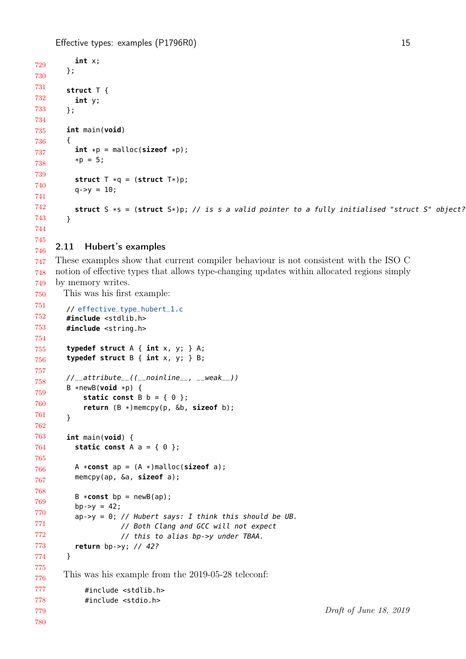```
729
730
731
732
733
734
735
736
737
738
739
740
741
742
743
744
745
          int x;
        };
        struct T {
          int y;
        };
        int main(void)
        {
          int *p = malloc(size of *p);
          *p = 5;struct T *q = (struct T *)p;
          q - y = 10;
          struct S *s = (struct S*)p; // is s a valid pointer to a fully initialised "struct S" object?
        }
```
#### 746 2.11 Hubert's examples

747 748 749 These examples show that current compiler behaviour is not consistent with the ISO C notion of effective types that allows type-changing updates within allocated regions simply by memory writes.

750 This was his first example:

```
751
752
753
754
755
756
757
758
759
760
761
762
763
764
765
766
767
768
769
770
771
772
773
774
775
776
777
778
779
780
        // effective_type_hubert_1.c
        #include <stdlib.h>
        #include <string.h>
        typedef struct A { int x, y; } A;
        typedef struct B { int x, y; } B;
        //__attribute__((__noinline__, __weak__))
        B *newB(void *p) {
            static const B b = \{ 0 \};
            return (B *)memcpy(p, &b, sizeof b);
        }
        int main(void) {
          static const A = \{ 0 \};
          A *const ap = (A *)malloc(sizeof a);
          memcpy(ap, &a, sizeof a);
          B * const bp = newB(ap);bp - y = 42;ap->y = 0; // Hubert says: I think this should be UB.
                     // Both Clang and GCC will not expect
                     // this to alias bp->y under TBAA.
          return bp->y; // 42?
        }
       This was his example from the 2019-05-28 teleconf:
            #include <stdlib.h>
            #include <stdio.h>
```